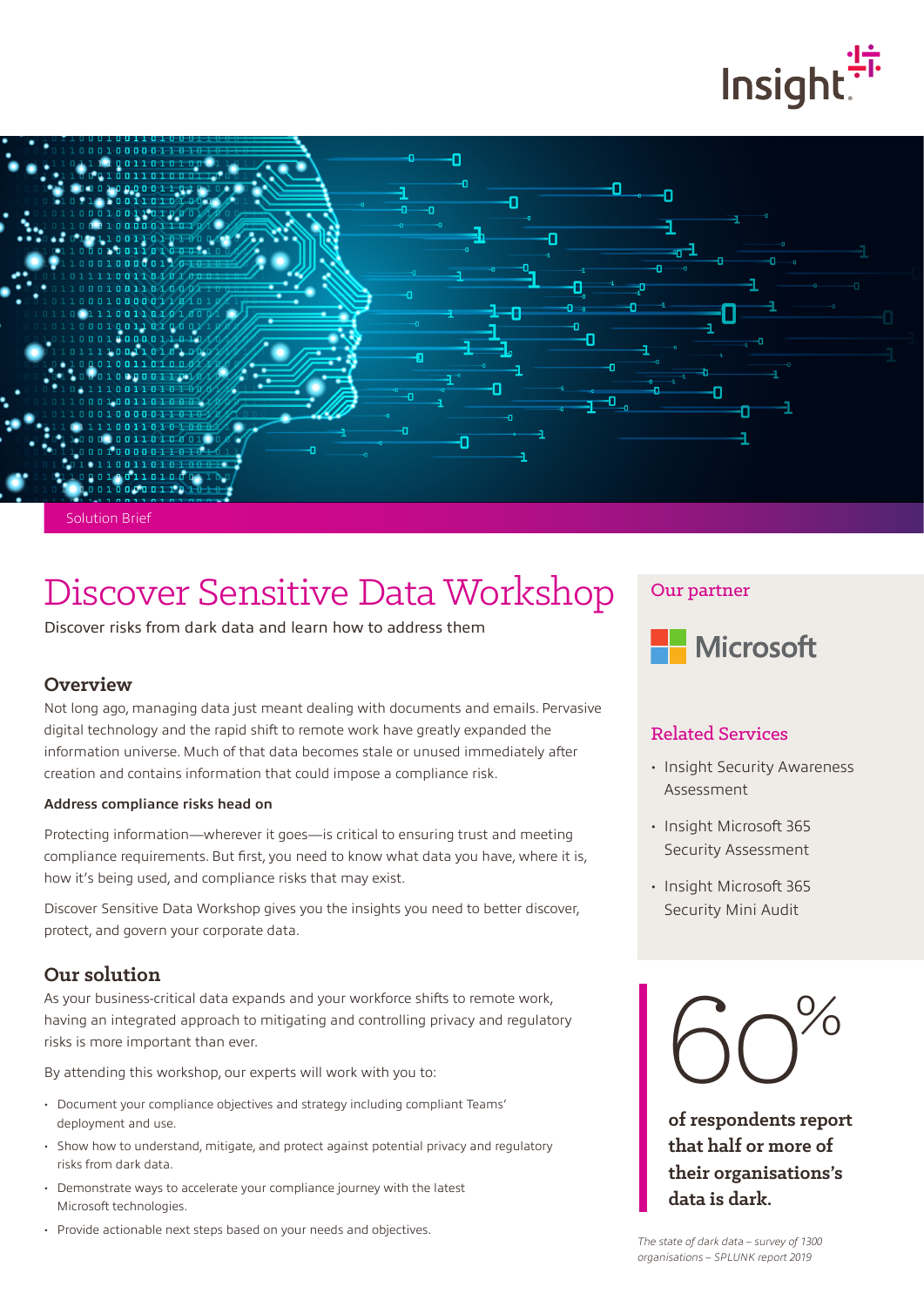



Solution Brief

# Discover Sensitive Data Workshop

Discover risks from dark data and learn how to address them

#### **Overview**

Not long ago, managing data just meant dealing with documents and emails. Pervasive digital technology and the rapid shift to remote work have greatly expanded the information universe. Much of that data becomes stale or unused immediately after creation and contains information that could impose a compliance risk.

#### **Address compliance risks head on**

Protecting information—wherever it goes—is critical to ensuring trust and meeting compliance requirements. But first, you need to know what data you have, where it is, how it's being used, and compliance risks that may exist.

Discover Sensitive Data Workshop gives you the insights you need to better discover, protect, and govern your corporate data.

### **Our solution**

As your business-critical data expands and your workforce shifts to remote work, having an integrated approach to mitigating and controlling privacy and regulatory risks is more important than ever.

By attending this workshop, our experts will work with you to:

- Document your compliance objectives and strategy including compliant Teams' deployment and use.
- Show how to understand, mitigate, and protect against potential privacy and regulatory risks from dark data.
- Demonstrate ways to accelerate your compliance journey with the latest Microsoft technologies.
- Provide actionable next steps based on your needs and objectives.

## Our partner



### Related Services

- Insight Security Awareness Assessment
- Insight Microsoft 365 Security Assessment
- Insight Microsoft 365 Security Mini Audit



**of respondents report that half or more of their organisations's data is dark.**